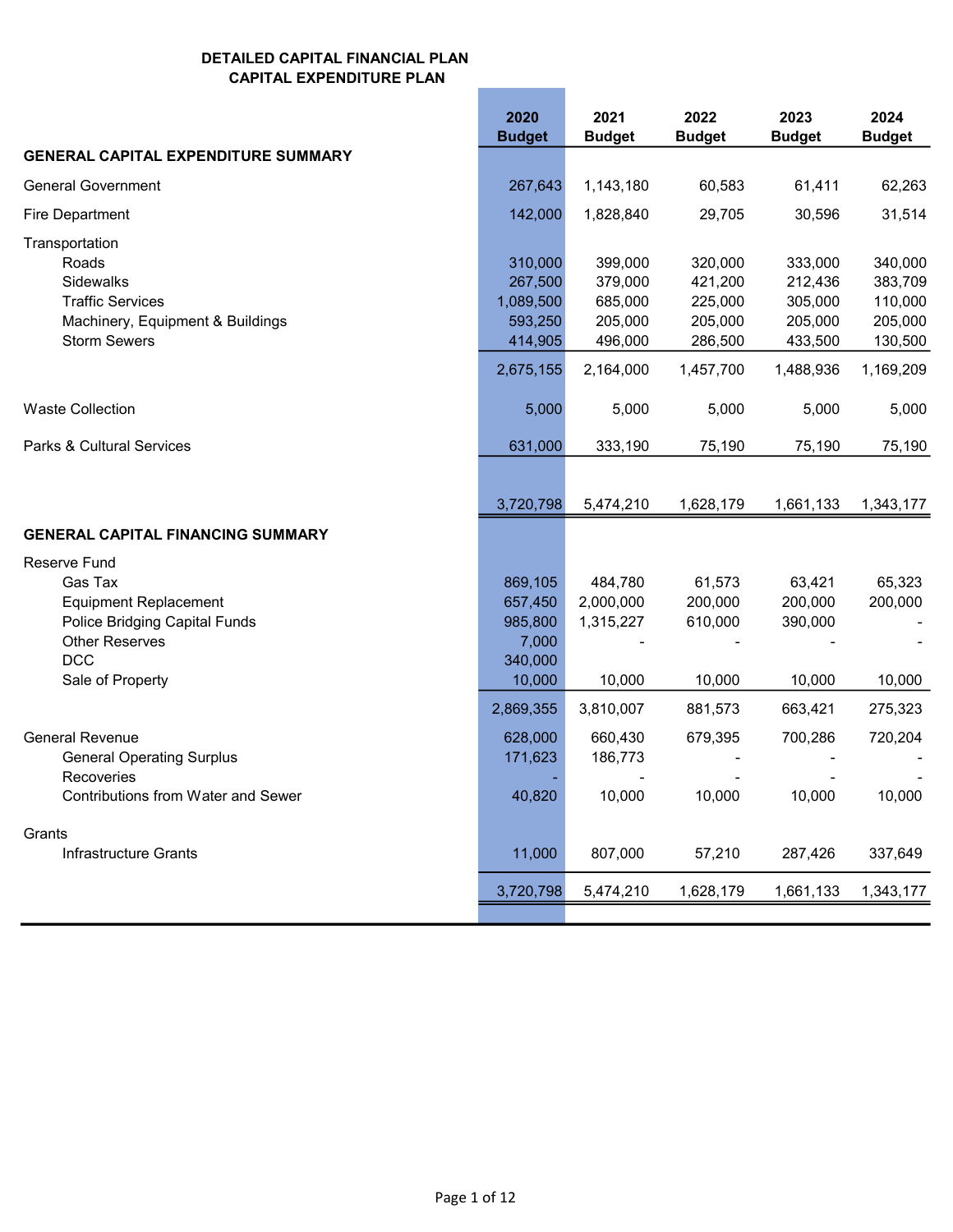|                                                                                                                                                            | 2020<br><b>Budget</b>                                              | 2021<br><b>Budget</b>                                            | 2022<br><b>Budget</b>                                            | 2023<br><b>Budget</b>                                            | 2024<br><b>Budget</b>                                            |
|------------------------------------------------------------------------------------------------------------------------------------------------------------|--------------------------------------------------------------------|------------------------------------------------------------------|------------------------------------------------------------------|------------------------------------------------------------------|------------------------------------------------------------------|
| <b>GENERAL CAPITAL EXPENDITURE SUMMARY</b>                                                                                                                 |                                                                    |                                                                  |                                                                  |                                                                  |                                                                  |
| <b>General Government</b>                                                                                                                                  | 267,643                                                            | 1,143,180                                                        | 60,583                                                           | 61,411                                                           | 62,263                                                           |
| Fire Department                                                                                                                                            | 142,000                                                            | 1,828,840                                                        | 29,705                                                           | 30,596                                                           | 31,514                                                           |
| Transportation<br>Roads<br>Sidewalks<br><b>Traffic Services</b><br>Machinery, Equipment & Buildings<br><b>Storm Sewers</b>                                 | 310,000<br>267,500<br>1,089,500<br>593,250<br>414,905<br>2,675,155 | 399,000<br>379,000<br>685,000<br>205,000<br>496,000<br>2,164,000 | 320,000<br>421,200<br>225,000<br>205,000<br>286,500<br>1,457,700 | 333,000<br>212,436<br>305,000<br>205,000<br>433,500<br>1,488,936 | 340,000<br>383,709<br>110,000<br>205,000<br>130,500<br>1,169,209 |
| <b>Waste Collection</b>                                                                                                                                    | 5,000                                                              | 5,000                                                            | 5,000                                                            | 5,000                                                            | 5,000                                                            |
| Parks & Cultural Services                                                                                                                                  | 631,000                                                            | 333,190                                                          | 75,190                                                           | 75,190                                                           | 75,190                                                           |
|                                                                                                                                                            | 3,720,798                                                          | 5,474,210                                                        | 1,628,179                                                        | 1,661,133                                                        | 1,343,177                                                        |
| <b>GENERAL CAPITAL FINANCING SUMMARY</b>                                                                                                                   |                                                                    |                                                                  |                                                                  |                                                                  |                                                                  |
| <b>Reserve Fund</b><br>Gas Tax<br><b>Equipment Replacement</b><br>Police Bridging Capital Funds<br><b>Other Reserves</b><br><b>DCC</b><br>Sale of Property | 869,105<br>657,450<br>985,800<br>7,000<br>340,000<br>10,000        | 484,780<br>2,000,000<br>1,315,227<br>10,000                      | 61,573<br>200,000<br>610,000<br>10,000                           | 63,421<br>200,000<br>390,000<br>10,000                           | 65,323<br>200,000<br>10,000                                      |
|                                                                                                                                                            | 2,869,355                                                          | 3,810,007                                                        | 881,573                                                          | 663,421                                                          | 275,323                                                          |
| <b>General Revenue</b><br><b>General Operating Surplus</b><br>Recoveries<br>Contributions from Water and Sewer                                             | 628,000<br>171,623<br>40,820                                       | 660,430<br>186,773<br>10,000                                     | 679,395<br>10,000                                                | 700,286<br>10,000                                                | 720,204<br>10,000                                                |
| Grants                                                                                                                                                     |                                                                    |                                                                  |                                                                  |                                                                  |                                                                  |
| Infrastructure Grants                                                                                                                                      | 11,000                                                             | 807,000                                                          | 57,210                                                           | 287,426                                                          | 337,649                                                          |
|                                                                                                                                                            | 3,720,798                                                          | 5,474,210                                                        | 1,628,179                                                        | 1,661,133                                                        | 1,343,177                                                        |
|                                                                                                                                                            |                                                                    |                                                                  |                                                                  |                                                                  |                                                                  |

**Contract Contract Contract Contract**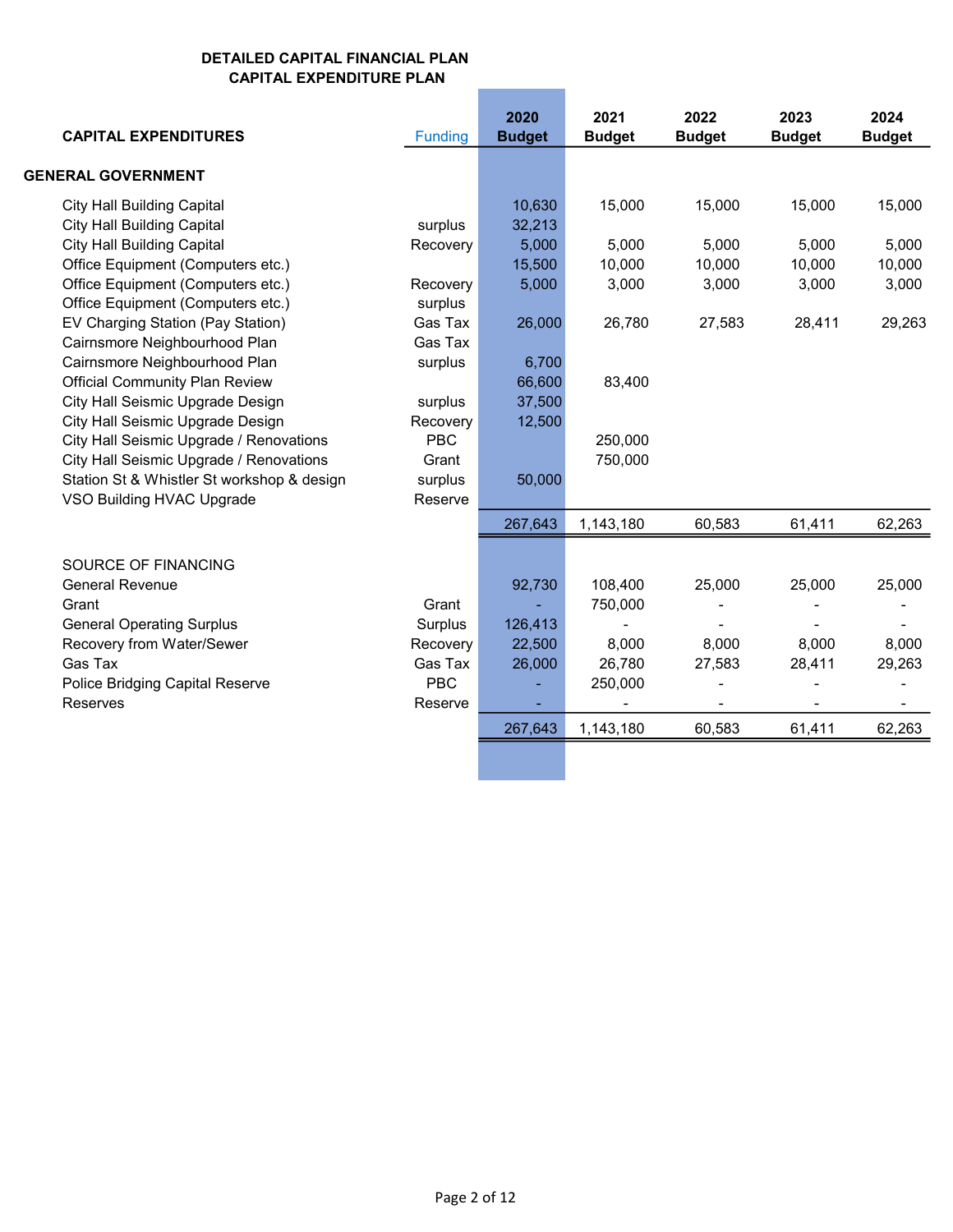| <b>CAPITAL EXPENDITURES</b>                | Funding    | 2020<br><b>Budget</b> | 2021<br><b>Budget</b> | 2022<br><b>Budget</b>    | 2023<br><b>Budget</b>    | 2024<br><b>Budget</b> |
|--------------------------------------------|------------|-----------------------|-----------------------|--------------------------|--------------------------|-----------------------|
| <b>GENERAL GOVERNMENT</b>                  |            |                       |                       |                          |                          |                       |
| <b>City Hall Building Capital</b>          |            | 10,630                | 15,000                | 15,000                   | 15,000                   | 15,000                |
| <b>City Hall Building Capital</b>          | surplus    | 32,213                |                       |                          |                          |                       |
| <b>City Hall Building Capital</b>          | Recovery   | 5,000                 | 5,000                 | 5,000                    | 5,000                    | 5,000                 |
| Office Equipment (Computers etc.)          |            | 15,500                | 10,000                | 10,000                   | 10,000                   | 10,000                |
| Office Equipment (Computers etc.)          | Recovery   | 5,000                 | 3,000                 | 3,000                    | 3,000                    | 3,000                 |
| Office Equipment (Computers etc.)          | surplus    |                       |                       |                          |                          |                       |
| EV Charging Station (Pay Station)          | Gas Tax    | 26,000                | 26,780                | 27,583                   | 28,411                   | 29,263                |
| Cairnsmore Neighbourhood Plan              | Gas Tax    |                       |                       |                          |                          |                       |
| Cairnsmore Neighbourhood Plan              | surplus    | 6,700                 |                       |                          |                          |                       |
| <b>Official Community Plan Review</b>      |            | 66,600                | 83,400                |                          |                          |                       |
| City Hall Seismic Upgrade Design           | surplus    | 37,500                |                       |                          |                          |                       |
| City Hall Seismic Upgrade Design           | Recovery   | 12,500                |                       |                          |                          |                       |
| City Hall Seismic Upgrade / Renovations    | <b>PBC</b> |                       | 250,000               |                          |                          |                       |
| City Hall Seismic Upgrade / Renovations    | Grant      |                       | 750,000               |                          |                          |                       |
| Station St & Whistler St workshop & design | surplus    | 50,000                |                       |                          |                          |                       |
| VSO Building HVAC Upgrade                  | Reserve    |                       |                       |                          |                          |                       |
|                                            |            | 267,643               | 1,143,180             | 60,583                   | 61,411                   | 62,263                |
| SOURCE OF FINANCING                        |            |                       |                       |                          |                          |                       |
| <b>General Revenue</b>                     |            | 92,730                | 108,400               | 25,000                   | 25,000                   | 25,000                |
| Grant                                      | Grant      |                       | 750,000               |                          |                          |                       |
| <b>General Operating Surplus</b>           | Surplus    | 126,413               |                       |                          |                          |                       |
| Recovery from Water/Sewer                  | Recovery   | 22,500                | 8,000                 | 8,000                    | 8,000                    | 8,000                 |
| Gas Tax                                    | Gas Tax    | 26,000                | 26,780                | 27,583                   | 28,411                   | 29,263                |
| Police Bridging Capital Reserve            | <b>PBC</b> |                       | 250,000               |                          |                          |                       |
| Reserves                                   | Reserve    |                       |                       | $\overline{\phantom{a}}$ | $\overline{\phantom{a}}$ | ۰                     |
|                                            |            | 267,643               | 1,143,180             | 60,583                   | 61,411                   | 62,263                |
|                                            |            |                       |                       |                          |                          |                       |

П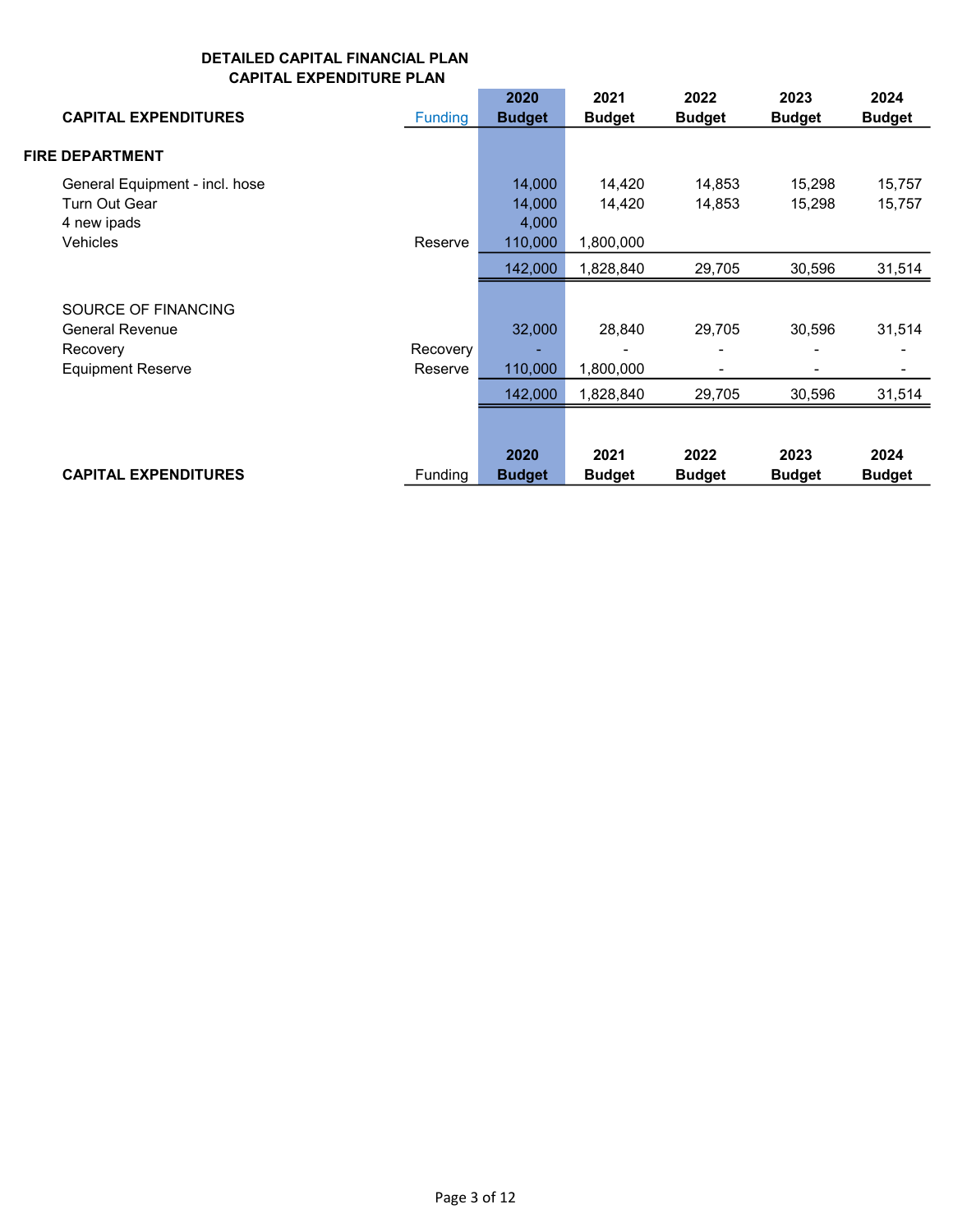| <b>CAPITAL EXPENDITURES</b>                                                           | <b>Funding</b>      | 2020<br><b>Budget</b>                | 2021<br><b>Budget</b>            | 2022<br><b>Budget</b> | 2023<br><b>Budget</b> | 2024<br><b>Budget</b> |
|---------------------------------------------------------------------------------------|---------------------|--------------------------------------|----------------------------------|-----------------------|-----------------------|-----------------------|
| <b>FIRE DEPARTMENT</b>                                                                |                     |                                      |                                  |                       |                       |                       |
| General Equipment - incl. hose<br>Turn Out Gear<br>4 new ipads<br><b>Vehicles</b>     | Reserve             | 14,000<br>14,000<br>4,000<br>110,000 | 14,420<br>14,420<br>1,800,000    | 14,853<br>14,853      | 15,298<br>15,298      | 15,757<br>15,757      |
|                                                                                       |                     | 142,000                              | 1,828,840                        | 29,705                | 30,596                | 31,514                |
| SOURCE OF FINANCING<br><b>General Revenue</b><br>Recovery<br><b>Equipment Reserve</b> | Recovery<br>Reserve | 32,000<br>110,000<br>142,000         | 28,840<br>1,800,000<br>1,828,840 | 29,705<br>29,705      | 30,596<br>30,596      | 31,514<br>31,514      |
| <b>CAPITAL EXPENDITURES</b>                                                           | <b>Funding</b>      | 2020<br><b>Budget</b>                | 2021<br><b>Budget</b>            | 2022<br><b>Budget</b> | 2023<br><b>Budget</b> | 2024<br><b>Budget</b> |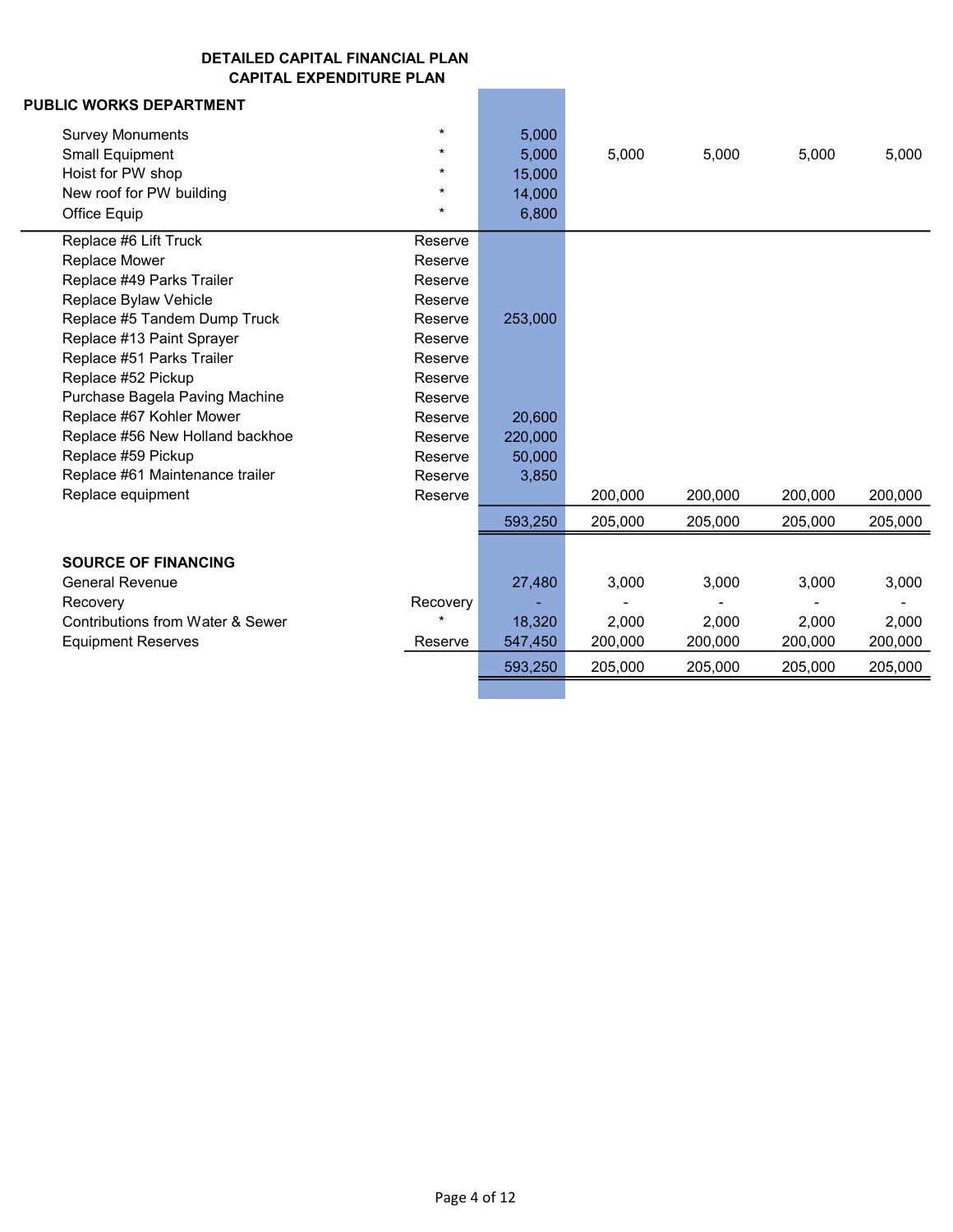| <b>PUBLIC WORKS DEPARTMENT</b>               |          |         |         |         |         |         |
|----------------------------------------------|----------|---------|---------|---------|---------|---------|
| <b>Survey Monuments</b>                      | $\star$  | 5,000   |         |         |         |         |
| <b>Small Equipment</b>                       | $\star$  | 5,000   | 5,000   | 5,000   | 5,000   | 5,000   |
| Hoist for PW shop                            | $^\star$ | 15,000  |         |         |         |         |
| New roof for PW building                     | $\star$  | 14,000  |         |         |         |         |
| Office Equip                                 | $\star$  | 6,800   |         |         |         |         |
| Replace #6 Lift Truck                        | Reserve  |         |         |         |         |         |
| Replace Mower                                | Reserve  |         |         |         |         |         |
| Replace #49 Parks Trailer                    | Reserve  |         |         |         |         |         |
| Replace Bylaw Vehicle                        | Reserve  |         |         |         |         |         |
| Replace #5 Tandem Dump Truck                 | Reserve  | 253,000 |         |         |         |         |
| Replace #13 Paint Sprayer                    | Reserve  |         |         |         |         |         |
| Replace #51 Parks Trailer                    | Reserve  |         |         |         |         |         |
| Replace #52 Pickup                           | Reserve  |         |         |         |         |         |
| Purchase Bagela Paving Machine               | Reserve  |         |         |         |         |         |
| Replace #67 Kohler Mower                     | Reserve  | 20,600  |         |         |         |         |
| Replace #56 New Holland backhoe              | Reserve  | 220,000 |         |         |         |         |
| Replace #59 Pickup                           | Reserve  | 50,000  |         |         |         |         |
| Replace #61 Maintenance trailer              | Reserve  | 3,850   |         |         |         |         |
| Replace equipment                            | Reserve  |         | 200,000 | 200,000 | 200,000 | 200,000 |
|                                              |          | 593,250 | 205,000 | 205,000 | 205,000 | 205,000 |
| <b>SOURCE OF FINANCING</b>                   |          |         |         |         |         |         |
| <b>General Revenue</b>                       |          | 27,480  | 3,000   | 3,000   | 3,000   | 3,000   |
|                                              | Recovery |         |         |         |         |         |
| Recovery<br>Contributions from Water & Sewer | $\star$  | 18,320  | 2,000   | 2,000   | 2,000   | 2,000   |
| <b>Equipment Reserves</b>                    | Reserve  | 547,450 | 200,000 | 200,000 | 200,000 | 200,000 |
|                                              |          |         |         |         |         |         |
|                                              |          | 593,250 | 205,000 | 205,000 | 205,000 | 205,000 |
|                                              |          |         |         |         |         |         |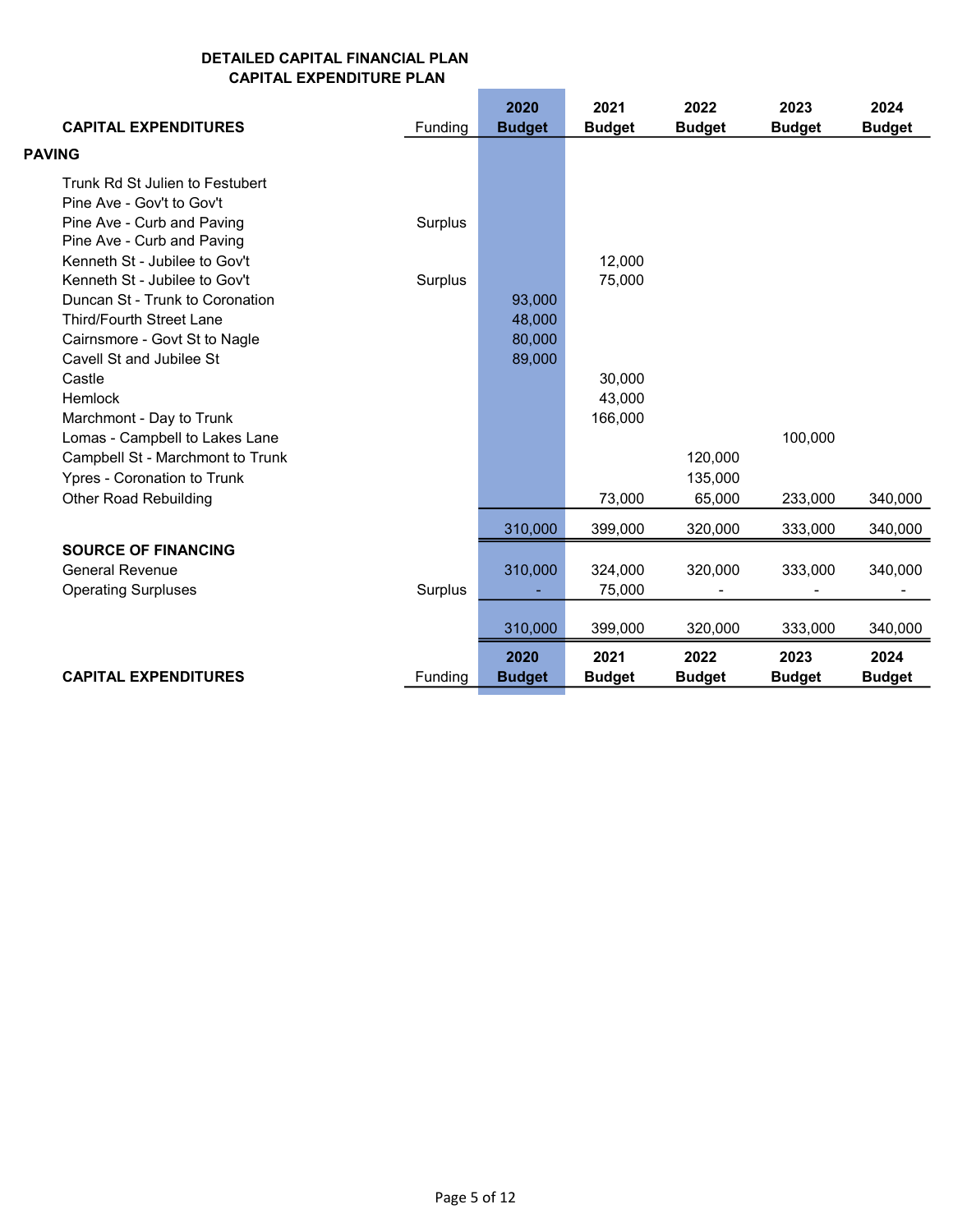| <b>CAPITAL EXPENDITURES</b>                                  | Funding | 2020<br><b>Budget</b> | 2021<br><b>Budget</b> | 2022<br><b>Budget</b> | 2023<br><b>Budget</b> | 2024<br><b>Budget</b> |
|--------------------------------------------------------------|---------|-----------------------|-----------------------|-----------------------|-----------------------|-----------------------|
| <b>PAVING</b>                                                |         |                       |                       |                       |                       |                       |
| Trunk Rd St Julien to Festubert<br>Pine Ave - Gov't to Gov't |         |                       |                       |                       |                       |                       |
| Pine Ave - Curb and Paving<br>Pine Ave - Curb and Paving     | Surplus |                       |                       |                       |                       |                       |
| Kenneth St - Jubilee to Gov't                                |         |                       | 12,000                |                       |                       |                       |
| Kenneth St - Jubilee to Gov't                                | Surplus |                       | 75,000                |                       |                       |                       |
| Duncan St - Trunk to Coronation                              |         | 93,000                |                       |                       |                       |                       |
| <b>Third/Fourth Street Lane</b>                              |         | 48,000                |                       |                       |                       |                       |
| Cairnsmore - Govt St to Nagle                                |         | 80,000                |                       |                       |                       |                       |
| Cavell St and Jubilee St                                     |         | 89,000                |                       |                       |                       |                       |
| Castle                                                       |         |                       | 30,000                |                       |                       |                       |
| Hemlock                                                      |         |                       | 43,000                |                       |                       |                       |
| Marchmont - Day to Trunk                                     |         |                       | 166,000               |                       |                       |                       |
| Lomas - Campbell to Lakes Lane                               |         |                       |                       |                       | 100,000               |                       |
| Campbell St - Marchmont to Trunk                             |         |                       |                       | 120,000               |                       |                       |
| Ypres - Coronation to Trunk                                  |         |                       |                       | 135,000               |                       |                       |
| <b>Other Road Rebuilding</b>                                 |         |                       | 73,000                | 65,000                | 233,000               | 340,000               |
|                                                              |         | 310,000               | 399,000               | 320.000               | 333,000               | 340,000               |
| <b>SOURCE OF FINANCING</b>                                   |         |                       |                       |                       |                       |                       |
| <b>General Revenue</b>                                       |         | 310,000               | 324,000               | 320,000               | 333,000               | 340,000               |
| <b>Operating Surpluses</b>                                   | Surplus |                       | 75,000                |                       |                       |                       |
|                                                              |         | 310,000               | 399,000               | 320,000               | 333,000               | 340,000               |
|                                                              |         | 2020                  | 2021                  | 2022                  | 2023                  | 2024                  |
| <b>CAPITAL EXPENDITURES</b>                                  | Funding | <b>Budget</b>         | <b>Budget</b>         | <b>Budget</b>         | <b>Budget</b>         | <b>Budget</b>         |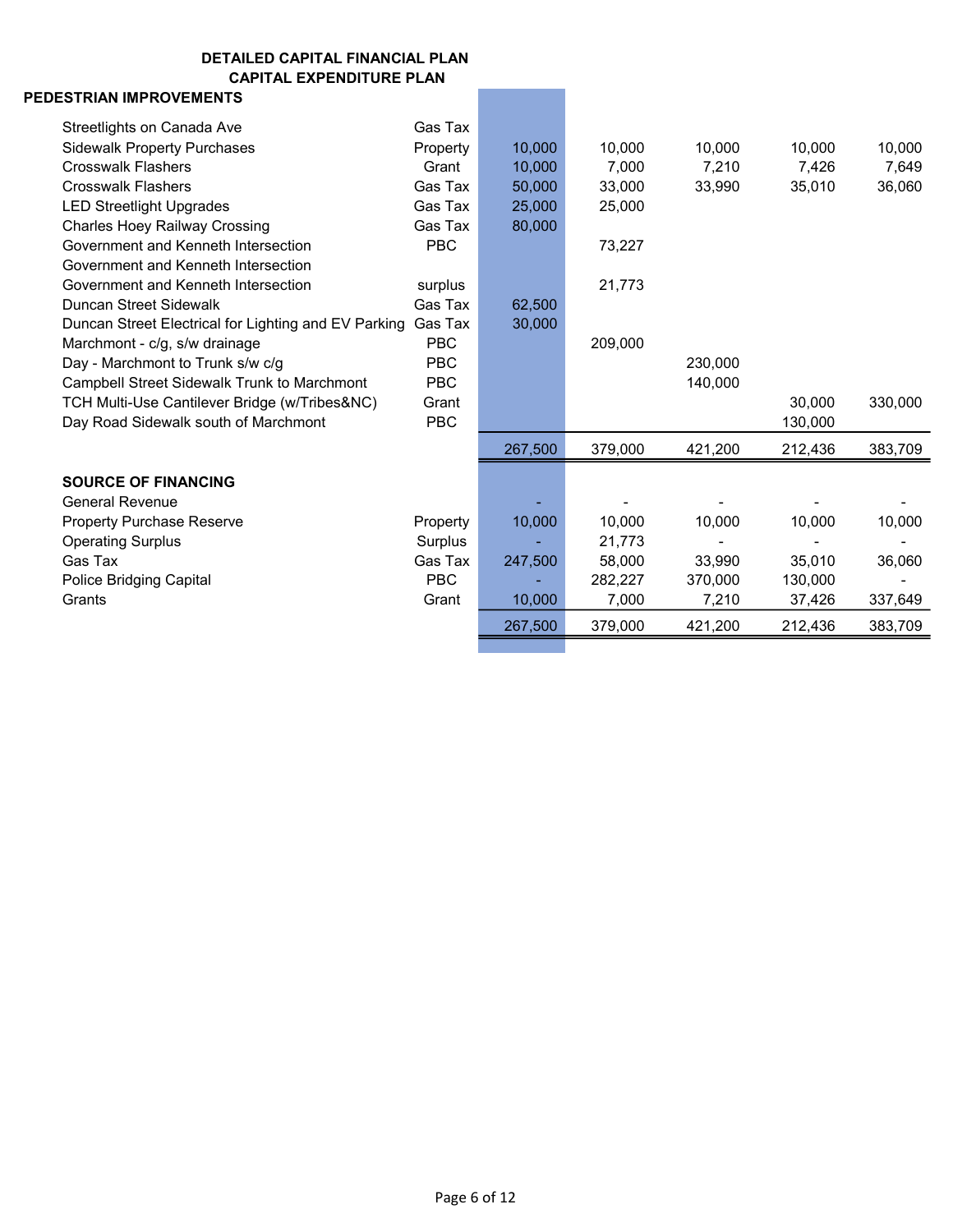# PEDESTRIAN IMPROVEMENTS

| Streetlights on Canada Ave                           | Gas Tax    |         |         |         |         |         |
|------------------------------------------------------|------------|---------|---------|---------|---------|---------|
| <b>Sidewalk Property Purchases</b>                   | Property   | 10,000  | 10,000  | 10,000  | 10,000  | 10,000  |
| <b>Crosswalk Flashers</b>                            | Grant      | 10,000  | 7,000   | 7,210   | 7,426   | 7,649   |
| <b>Crosswalk Flashers</b>                            | Gas Tax    | 50,000  | 33,000  | 33,990  | 35,010  | 36,060  |
| <b>LED Streetlight Upgrades</b>                      | Gas Tax    | 25,000  | 25,000  |         |         |         |
| <b>Charles Hoey Railway Crossing</b>                 | Gas Tax    | 80,000  |         |         |         |         |
| Government and Kenneth Intersection                  | <b>PBC</b> |         | 73,227  |         |         |         |
| Government and Kenneth Intersection                  |            |         |         |         |         |         |
| Government and Kenneth Intersection                  | surplus    |         | 21,773  |         |         |         |
| Duncan Street Sidewalk                               | Gas Tax    | 62,500  |         |         |         |         |
| Duncan Street Electrical for Lighting and EV Parking | Gas Tax    | 30,000  |         |         |         |         |
| Marchmont - c/g, s/w drainage                        | <b>PBC</b> |         | 209,000 |         |         |         |
| Day - Marchmont to Trunk s/w c/g                     | <b>PBC</b> |         |         | 230,000 |         |         |
| Campbell Street Sidewalk Trunk to Marchmont          | <b>PBC</b> |         |         | 140,000 |         |         |
| TCH Multi-Use Cantilever Bridge (w/Tribes&NC)        | Grant      |         |         |         | 30,000  | 330,000 |
| Day Road Sidewalk south of Marchmont                 | <b>PBC</b> |         |         |         | 130,000 |         |
|                                                      |            | 267,500 | 379,000 | 421,200 | 212,436 | 383,709 |
| <b>SOURCE OF FINANCING</b>                           |            |         |         |         |         |         |
| <b>General Revenue</b>                               |            |         |         |         |         |         |
| <b>Property Purchase Reserve</b>                     | Property   | 10,000  | 10,000  | 10,000  | 10,000  | 10,000  |
| <b>Operating Surplus</b>                             | Surplus    |         | 21,773  |         |         |         |
| Gas Tax                                              | Gas Tax    | 247,500 | 58,000  | 33,990  | 35,010  | 36,060  |
| <b>Police Bridging Capital</b>                       | <b>PBC</b> |         | 282,227 | 370.000 | 130,000 |         |
| Grants                                               | Grant      | 10,000  | 7,000   | 7,210   | 37,426  | 337,649 |
|                                                      |            | 267,500 | 379,000 | 421,200 | 212,436 | 383,709 |
|                                                      |            |         |         |         |         |         |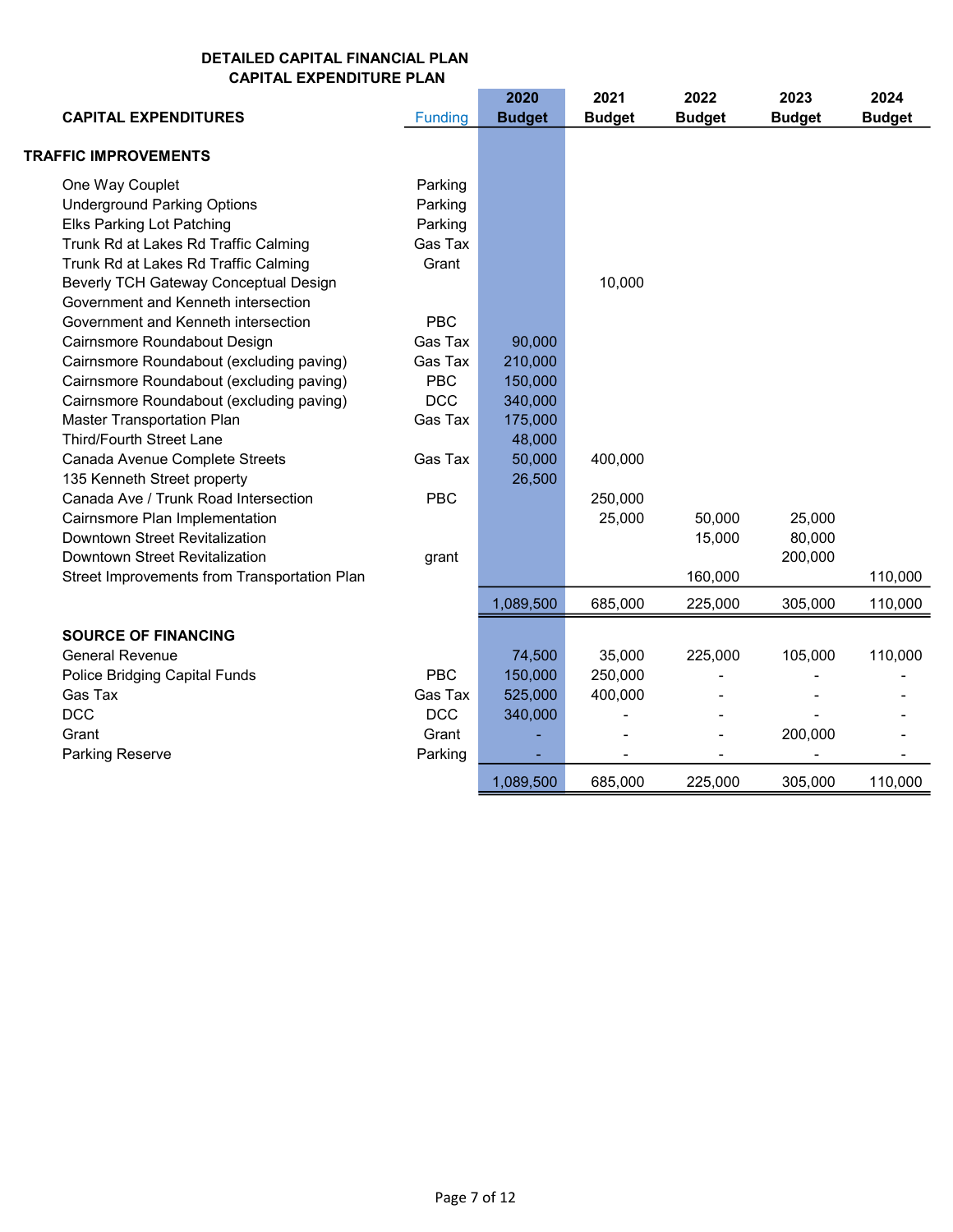|                                              |                | 2020          | 2021          | 2022          | 2023          | 2024          |
|----------------------------------------------|----------------|---------------|---------------|---------------|---------------|---------------|
| <b>CAPITAL EXPENDITURES</b>                  | <b>Funding</b> | <b>Budget</b> | <b>Budget</b> | <b>Budget</b> | <b>Budget</b> | <b>Budget</b> |
| <b>TRAFFIC IMPROVEMENTS</b>                  |                |               |               |               |               |               |
| One Way Couplet                              | Parking        |               |               |               |               |               |
| <b>Underground Parking Options</b>           | Parking        |               |               |               |               |               |
| <b>Elks Parking Lot Patching</b>             | Parking        |               |               |               |               |               |
| Trunk Rd at Lakes Rd Traffic Calming         | Gas Tax        |               |               |               |               |               |
| Trunk Rd at Lakes Rd Traffic Calming         | Grant          |               |               |               |               |               |
| Beverly TCH Gateway Conceptual Design        |                |               | 10,000        |               |               |               |
| Government and Kenneth intersection          |                |               |               |               |               |               |
| Government and Kenneth intersection          | <b>PBC</b>     |               |               |               |               |               |
| Cairnsmore Roundabout Design                 | Gas Tax        | 90,000        |               |               |               |               |
| Cairnsmore Roundabout (excluding paving)     | Gas Tax        | 210,000       |               |               |               |               |
| Cairnsmore Roundabout (excluding paving)     | <b>PBC</b>     | 150,000       |               |               |               |               |
| Cairnsmore Roundabout (excluding paving)     | <b>DCC</b>     | 340,000       |               |               |               |               |
| Master Transportation Plan                   | Gas Tax        | 175,000       |               |               |               |               |
| <b>Third/Fourth Street Lane</b>              |                | 48,000        |               |               |               |               |
| Canada Avenue Complete Streets               | Gas Tax        | 50,000        | 400,000       |               |               |               |
| 135 Kenneth Street property                  |                | 26,500        |               |               |               |               |
| Canada Ave / Trunk Road Intersection         | <b>PBC</b>     |               | 250,000       |               |               |               |
| Cairnsmore Plan Implementation               |                |               | 25,000        | 50,000        | 25,000        |               |
| Downtown Street Revitalization               |                |               |               | 15,000        | 80,000        |               |
| Downtown Street Revitalization               | grant          |               |               |               | 200,000       |               |
| Street Improvements from Transportation Plan |                |               |               | 160,000       |               | 110,000       |
|                                              |                | 1,089,500     | 685,000       | 225,000       | 305,000       | 110,000       |
| <b>SOURCE OF FINANCING</b>                   |                |               |               |               |               |               |
| <b>General Revenue</b>                       |                | 74,500        | 35,000        | 225,000       | 105,000       | 110,000       |
| Police Bridging Capital Funds                | <b>PBC</b>     | 150,000       | 250,000       |               |               |               |
| Gas Tax                                      | Gas Tax        | 525,000       | 400,000       |               |               |               |
| <b>DCC</b>                                   | <b>DCC</b>     | 340,000       |               |               |               |               |
| Grant                                        | Grant          |               |               |               | 200,000       |               |
| Parking Reserve                              | Parking        |               |               |               |               |               |
|                                              |                | 1,089,500     | 685,000       | 225,000       | 305,000       | 110,000       |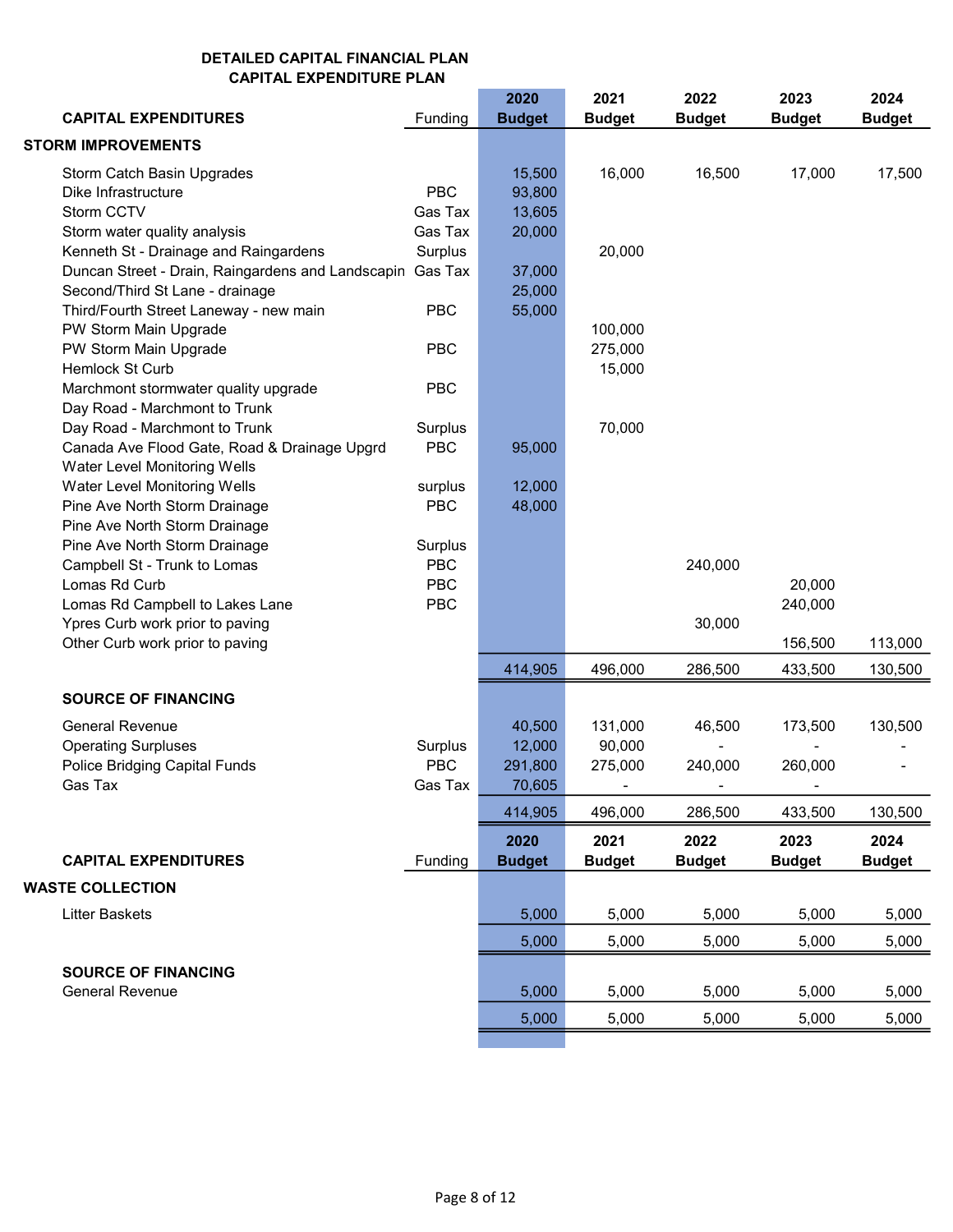|                         | <b>CAPITAL EXPENDITURES</b>                                               | Funding    | 2020<br><b>Budget</b> | 2021<br><b>Budget</b> | 2022<br><b>Budget</b> | 2023<br><b>Budget</b> | 2024<br><b>Budget</b> |
|-------------------------|---------------------------------------------------------------------------|------------|-----------------------|-----------------------|-----------------------|-----------------------|-----------------------|
|                         |                                                                           |            |                       |                       |                       |                       |                       |
|                         | <b>STORM IMPROVEMENTS</b>                                                 |            |                       |                       |                       |                       |                       |
|                         | Storm Catch Basin Upgrades                                                |            | 15,500                | 16,000                | 16,500                | 17,000                | 17,500                |
|                         | Dike Infrastructure                                                       | <b>PBC</b> | 93,800                |                       |                       |                       |                       |
| Storm CCTV              |                                                                           | Gas Tax    | 13,605                |                       |                       |                       |                       |
|                         | Storm water quality analysis                                              | Gas Tax    | 20,000                |                       |                       |                       |                       |
|                         | Kenneth St - Drainage and Raingardens                                     | Surplus    |                       | 20,000                |                       |                       |                       |
|                         | Duncan Street - Drain, Raingardens and Landscapin Gas Tax                 |            | 37,000                |                       |                       |                       |                       |
|                         | Second/Third St Lane - drainage<br>Third/Fourth Street Laneway - new main | <b>PBC</b> | 25,000                |                       |                       |                       |                       |
|                         | PW Storm Main Upgrade                                                     |            | 55,000                | 100,000               |                       |                       |                       |
|                         | PW Storm Main Upgrade                                                     | <b>PBC</b> |                       | 275,000               |                       |                       |                       |
|                         | Hemlock St Curb                                                           |            |                       | 15,000                |                       |                       |                       |
|                         | Marchmont stormwater quality upgrade                                      | PBC        |                       |                       |                       |                       |                       |
|                         | Day Road - Marchmont to Trunk                                             |            |                       |                       |                       |                       |                       |
|                         | Day Road - Marchmont to Trunk                                             | Surplus    |                       | 70,000                |                       |                       |                       |
|                         | Canada Ave Flood Gate, Road & Drainage Upgrd                              | PBC        | 95,000                |                       |                       |                       |                       |
|                         | Water Level Monitoring Wells                                              |            |                       |                       |                       |                       |                       |
|                         | Water Level Monitoring Wells                                              | surplus    | 12,000                |                       |                       |                       |                       |
|                         | Pine Ave North Storm Drainage                                             | <b>PBC</b> | 48,000                |                       |                       |                       |                       |
|                         | Pine Ave North Storm Drainage                                             |            |                       |                       |                       |                       |                       |
|                         | Pine Ave North Storm Drainage                                             | Surplus    |                       |                       |                       |                       |                       |
|                         | Campbell St - Trunk to Lomas                                              | <b>PBC</b> |                       |                       | 240,000               |                       |                       |
|                         | Lomas Rd Curb                                                             | <b>PBC</b> |                       |                       |                       | 20,000                |                       |
|                         | Lomas Rd Campbell to Lakes Lane                                           | <b>PBC</b> |                       |                       |                       | 240,000               |                       |
|                         | Ypres Curb work prior to paving                                           |            |                       |                       | 30,000                |                       |                       |
|                         | Other Curb work prior to paving                                           |            |                       |                       |                       | 156,500               | 113,000               |
|                         |                                                                           |            | 414,905               | 496,000               | 286,500               | 433,500               | 130,500               |
|                         | <b>SOURCE OF FINANCING</b>                                                |            |                       |                       |                       |                       |                       |
|                         | <b>General Revenue</b>                                                    |            | 40,500                | 131,000               | 46,500                | 173,500               | 130,500               |
|                         | <b>Operating Surpluses</b>                                                | Surplus    | 12,000                | 90,000                |                       |                       |                       |
|                         | Police Bridging Capital Funds                                             | <b>PBC</b> | 291,800               | 275,000               | 240,000               | 260,000               |                       |
| Gas Tax                 |                                                                           | Gas Tax    | 70,605                |                       |                       |                       |                       |
|                         |                                                                           |            | 414,905               | 496,000               | 286,500               | 433,500               | 130,500               |
|                         |                                                                           |            | 2020                  | 2021                  | 2022                  | 2023                  | 2024                  |
|                         | <b>CAPITAL EXPENDITURES</b>                                               | Funding    | <b>Budget</b>         | <b>Budget</b>         | <b>Budget</b>         | <b>Budget</b>         | <b>Budget</b>         |
| <b>WASTE COLLECTION</b> |                                                                           |            |                       |                       |                       |                       |                       |
| <b>Litter Baskets</b>   |                                                                           |            | 5,000                 | 5,000                 | 5,000                 | 5,000                 | 5,000                 |
|                         |                                                                           |            | 5,000                 | 5,000                 | 5,000                 | 5,000                 | 5,000                 |
|                         | <b>SOURCE OF FINANCING</b>                                                |            |                       |                       |                       |                       |                       |
|                         | <b>General Revenue</b>                                                    |            | 5,000                 | 5,000                 | 5,000                 | 5,000                 | 5,000                 |
|                         |                                                                           |            | 5,000                 | 5,000                 | 5,000                 | 5,000                 | 5,000                 |
|                         |                                                                           |            |                       |                       |                       |                       |                       |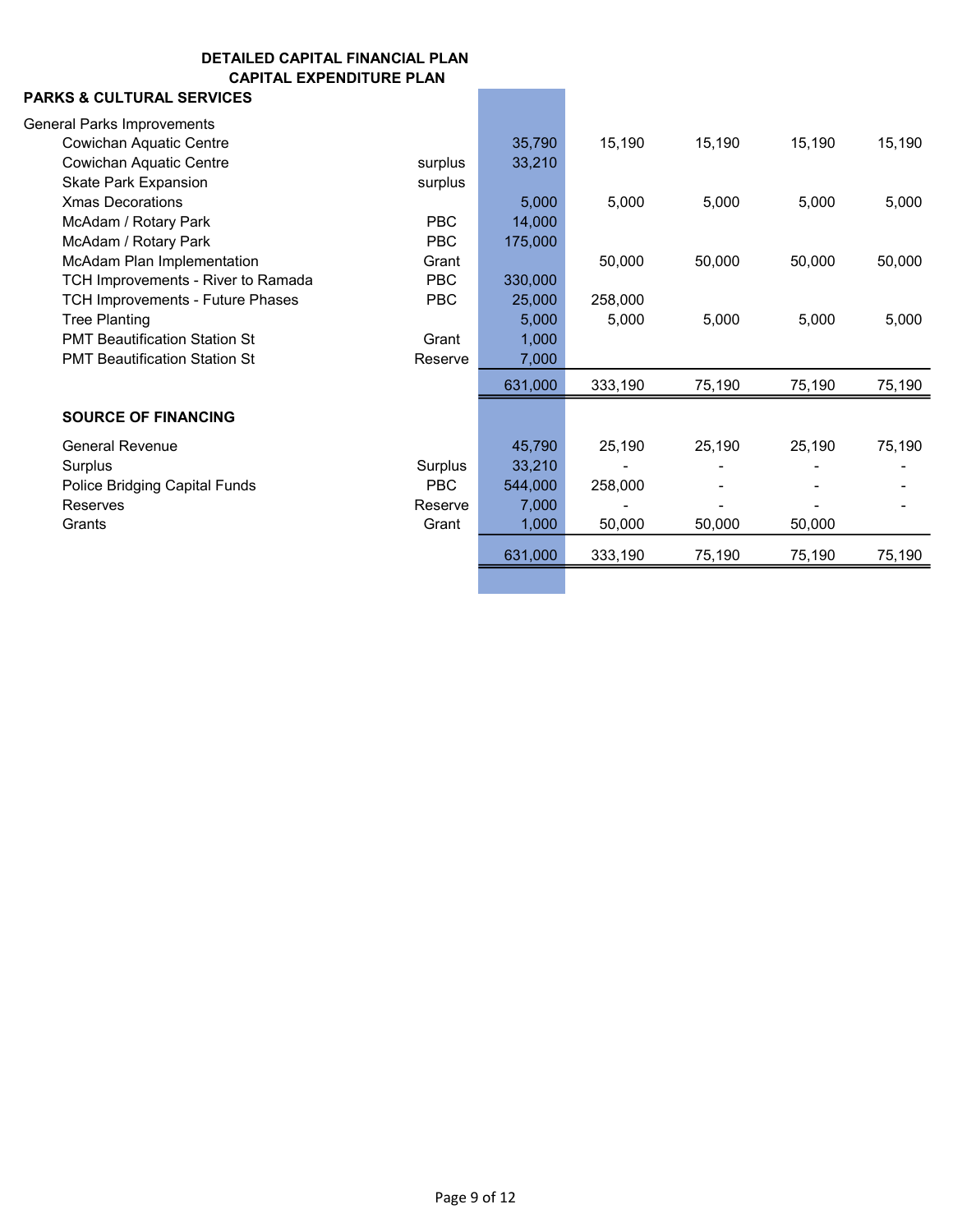### PARKS & CULTURAL SERVICES

| <b>General Parks Improvements</b>       |            |         |         |        |        |        |
|-----------------------------------------|------------|---------|---------|--------|--------|--------|
| <b>Cowichan Aquatic Centre</b>          |            | 35,790  | 15,190  | 15,190 | 15,190 | 15,190 |
| Cowichan Aquatic Centre                 | surplus    | 33,210  |         |        |        |        |
| <b>Skate Park Expansion</b>             | surplus    |         |         |        |        |        |
| <b>Xmas Decorations</b>                 |            | 5,000   | 5,000   | 5,000  | 5,000  | 5,000  |
| McAdam / Rotary Park                    | <b>PBC</b> | 14,000  |         |        |        |        |
| McAdam / Rotary Park                    | <b>PBC</b> | 175,000 |         |        |        |        |
| McAdam Plan Implementation              | Grant      |         | 50,000  | 50,000 | 50,000 | 50,000 |
| TCH Improvements - River to Ramada      | <b>PBC</b> | 330,000 |         |        |        |        |
| <b>TCH Improvements - Future Phases</b> | <b>PBC</b> | 25,000  | 258,000 |        |        |        |
| <b>Tree Planting</b>                    |            | 5,000   | 5,000   | 5,000  | 5,000  | 5,000  |
| <b>PMT Beautification Station St</b>    | Grant      | 1,000   |         |        |        |        |
| <b>PMT Beautification Station St</b>    | Reserve    | 7,000   |         |        |        |        |
|                                         |            | 631,000 | 333,190 | 75,190 | 75,190 | 75,190 |
| <b>SOURCE OF FINANCING</b>              |            |         |         |        |        |        |
| <b>General Revenue</b>                  |            | 45,790  | 25,190  | 25,190 | 25,190 | 75,190 |
| Surplus                                 | Surplus    | 33,210  |         |        |        |        |
| Police Bridging Capital Funds           | <b>PBC</b> | 544,000 | 258,000 |        |        |        |
| <b>Reserves</b>                         | Reserve    | 7,000   |         |        |        |        |
| Grants                                  | Grant      | 1,000   | 50,000  | 50,000 | 50,000 |        |
|                                         |            | 631,000 | 333,190 | 75,190 | 75,190 | 75,190 |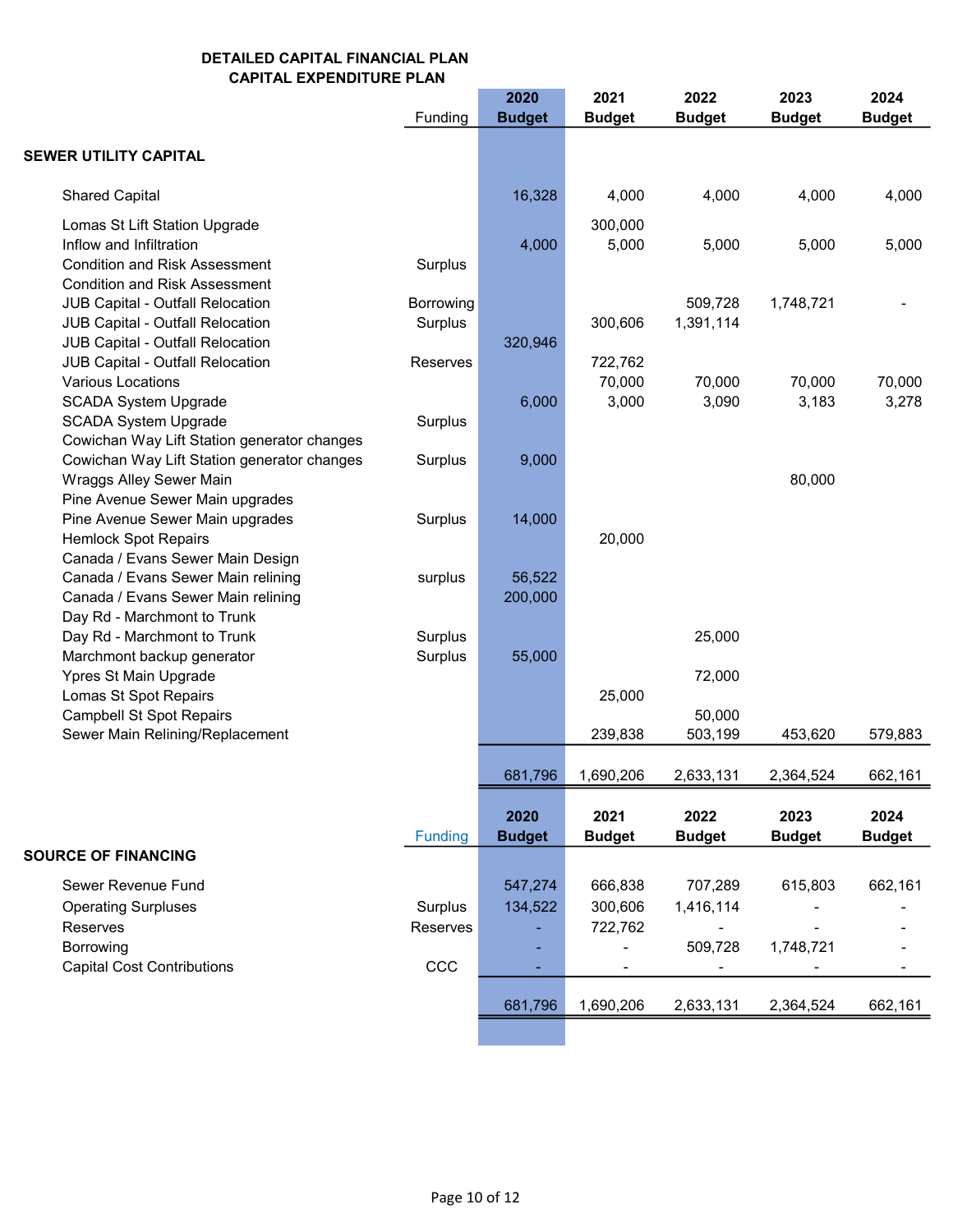|                                                                                                                                                      | Funding              | 2020<br><b>Budget</b> | 2021<br><b>Budget</b>         | 2022<br><b>Budget</b> | 2023<br><b>Budget</b> | 2024<br><b>Budget</b> |
|------------------------------------------------------------------------------------------------------------------------------------------------------|----------------------|-----------------------|-------------------------------|-----------------------|-----------------------|-----------------------|
| SEWER UTILITY CAPITAL                                                                                                                                |                      |                       |                               |                       |                       |                       |
| <b>Shared Capital</b>                                                                                                                                |                      | 16,328                | 4,000                         | 4,000                 | 4,000                 | 4,000                 |
| Lomas St Lift Station Upgrade<br>Inflow and Infiltration<br><b>Condition and Risk Assessment</b>                                                     | Surplus              | 4,000                 | 300,000<br>5,000              | 5,000                 | 5,000                 | 5,000                 |
| <b>Condition and Risk Assessment</b><br>JUB Capital - Outfall Relocation<br>JUB Capital - Outfall Relocation<br>JUB Capital - Outfall Relocation     | Borrowing<br>Surplus | 320,946               | 300,606                       | 509,728<br>1,391,114  | 1,748,721             |                       |
| JUB Capital - Outfall Relocation<br><b>Various Locations</b><br><b>SCADA System Upgrade</b>                                                          | Reserves             | 6,000                 | 722,762<br>70,000<br>3,000    | 70,000<br>3,090       | 70,000<br>3,183       | 70,000<br>3,278       |
| <b>SCADA System Upgrade</b><br>Cowichan Way Lift Station generator changes<br>Cowichan Way Lift Station generator changes<br>Wraggs Alley Sewer Main | Surplus<br>Surplus   | 9,000                 |                               |                       | 80,000                |                       |
| Pine Avenue Sewer Main upgrades<br>Pine Avenue Sewer Main upgrades<br><b>Hemlock Spot Repairs</b>                                                    | Surplus              | 14,000                | 20,000                        |                       |                       |                       |
| Canada / Evans Sewer Main Design<br>Canada / Evans Sewer Main relining<br>Canada / Evans Sewer Main relining<br>Day Rd - Marchmont to Trunk          | surplus              | 56,522<br>200,000     |                               |                       |                       |                       |
| Day Rd - Marchmont to Trunk<br>Marchmont backup generator<br>Ypres St Main Upgrade                                                                   | Surplus<br>Surplus   | 55,000                |                               | 25,000<br>72,000      |                       |                       |
| Lomas St Spot Repairs<br><b>Campbell St Spot Repairs</b><br>Sewer Main Relining/Replacement                                                          |                      |                       | 25,000<br>239,838             | 50,000<br>503,199     | 453,620               | 579,883               |
|                                                                                                                                                      |                      | 681,796               | 1,690,206                     | 2,633,131             | 2,364,524             | 662,161               |
|                                                                                                                                                      | Funding              | 2020<br><b>Budget</b> | 2021<br><b>Budget</b>         | 2022<br><b>Budget</b> | 2023<br><b>Budget</b> | 2024<br><b>Budget</b> |
| <b>SOURCE OF FINANCING</b><br>Sewer Revenue Fund<br><b>Operating Surpluses</b><br>Reserves                                                           | Surplus<br>Reserves  | 547,274<br>134,522    | 666,838<br>300,606<br>722,762 | 707,289<br>1,416,114  | 615,803               | 662,161               |
| Borrowing<br><b>Capital Cost Contributions</b>                                                                                                       | CCC                  |                       | $\overline{\phantom{a}}$      | 509,728               | 1,748,721             |                       |
|                                                                                                                                                      |                      | 681,796               | 1,690,206                     | 2,633,131             | 2,364,524             | 662,161               |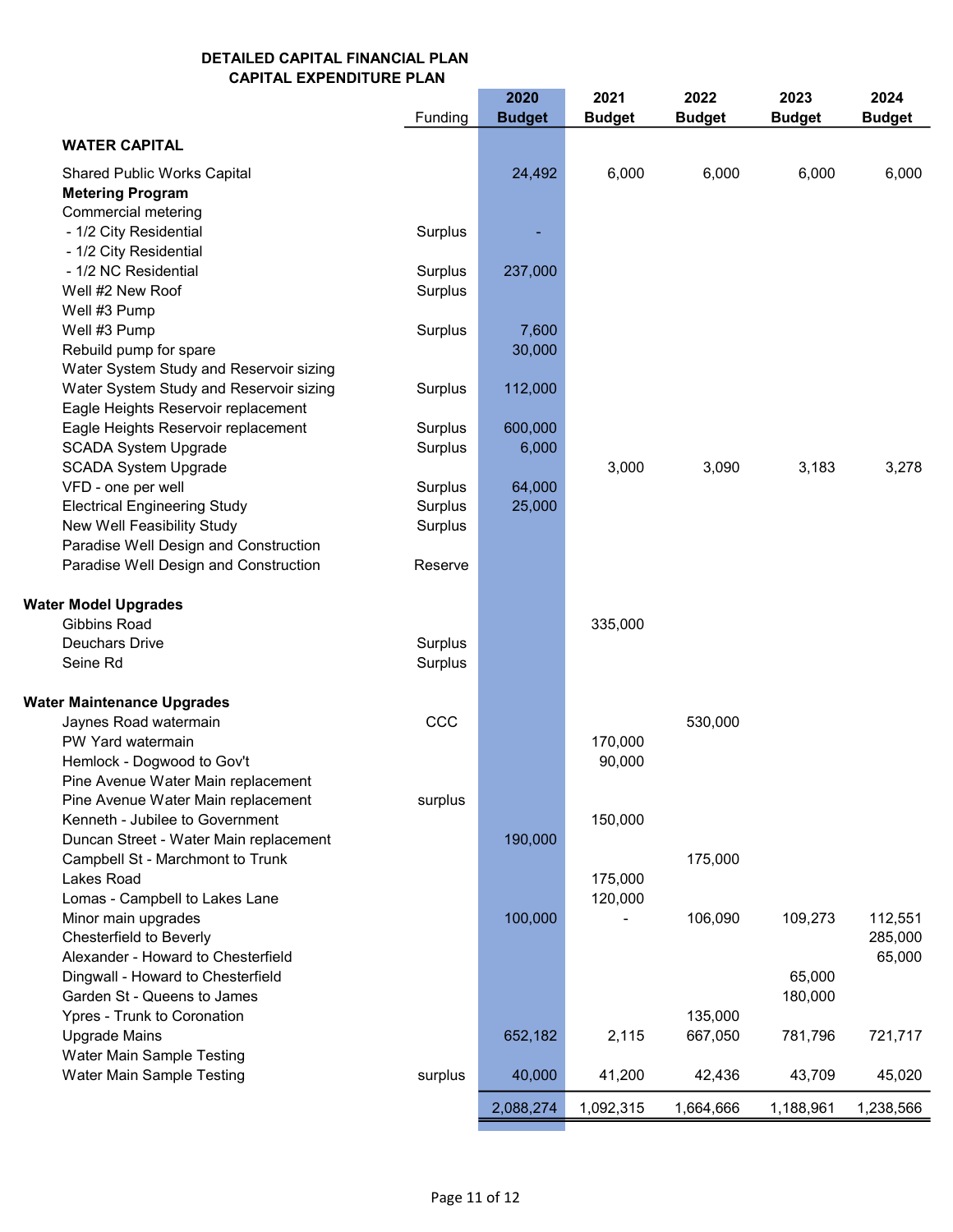|                                         |         | 2020          | 2021          | 2022          | 2023          | 2024          |
|-----------------------------------------|---------|---------------|---------------|---------------|---------------|---------------|
|                                         | Funding | <b>Budget</b> | <b>Budget</b> | <b>Budget</b> | <b>Budget</b> | <b>Budget</b> |
| <b>WATER CAPITAL</b>                    |         |               |               |               |               |               |
| <b>Shared Public Works Capital</b>      |         | 24,492        | 6,000         | 6,000         | 6,000         | 6,000         |
| <b>Metering Program</b>                 |         |               |               |               |               |               |
| Commercial metering                     |         |               |               |               |               |               |
| - 1/2 City Residential                  | Surplus |               |               |               |               |               |
| - 1/2 City Residential                  |         |               |               |               |               |               |
| - 1/2 NC Residential                    | Surplus | 237,000       |               |               |               |               |
| Well #2 New Roof                        | Surplus |               |               |               |               |               |
| Well #3 Pump                            |         |               |               |               |               |               |
| Well #3 Pump                            | Surplus | 7,600         |               |               |               |               |
| Rebuild pump for spare                  |         | 30,000        |               |               |               |               |
| Water System Study and Reservoir sizing |         |               |               |               |               |               |
| Water System Study and Reservoir sizing | Surplus | 112,000       |               |               |               |               |
| Eagle Heights Reservoir replacement     |         |               |               |               |               |               |
| Eagle Heights Reservoir replacement     | Surplus | 600,000       |               |               |               |               |
| <b>SCADA System Upgrade</b>             | Surplus | 6,000         |               |               |               |               |
| <b>SCADA System Upgrade</b>             |         |               | 3,000         | 3,090         | 3,183         | 3,278         |
| VFD - one per well                      | Surplus | 64,000        |               |               |               |               |
| <b>Electrical Engineering Study</b>     | Surplus | 25,000        |               |               |               |               |
| New Well Feasibility Study              | Surplus |               |               |               |               |               |
| Paradise Well Design and Construction   |         |               |               |               |               |               |
| Paradise Well Design and Construction   | Reserve |               |               |               |               |               |
| <b>Water Model Upgrades</b>             |         |               |               |               |               |               |
| Gibbins Road                            |         |               | 335,000       |               |               |               |
| Deuchars Drive                          | Surplus |               |               |               |               |               |
| Seine Rd                                | Surplus |               |               |               |               |               |
| <b>Water Maintenance Upgrades</b>       |         |               |               |               |               |               |
| Jaynes Road watermain                   | CCC     |               |               | 530,000       |               |               |
| PW Yard watermain                       |         |               | 170,000       |               |               |               |
| Hemlock - Dogwood to Gov't              |         |               | 90,000        |               |               |               |
| Pine Avenue Water Main replacement      |         |               |               |               |               |               |
| Pine Avenue Water Main replacement      | surplus |               |               |               |               |               |
| Kenneth - Jubilee to Government         |         |               | 150,000       |               |               |               |
| Duncan Street - Water Main replacement  |         | 190,000       |               |               |               |               |
| Campbell St - Marchmont to Trunk        |         |               |               | 175,000       |               |               |
| Lakes Road                              |         |               | 175,000       |               |               |               |
| Lomas - Campbell to Lakes Lane          |         |               | 120,000       |               |               |               |
| Minor main upgrades                     |         | 100,000       |               | 106,090       | 109,273       | 112,551       |
| Chesterfield to Beverly                 |         |               |               |               |               | 285,000       |
| Alexander - Howard to Chesterfield      |         |               |               |               |               | 65,000        |
| Dingwall - Howard to Chesterfield       |         |               |               |               | 65,000        |               |
| Garden St - Queens to James             |         |               |               |               | 180,000       |               |
| Ypres - Trunk to Coronation             |         |               |               | 135,000       |               |               |
| <b>Upgrade Mains</b>                    |         | 652,182       | 2,115         | 667,050       | 781,796       | 721,717       |
| Water Main Sample Testing               |         |               |               |               |               |               |
| Water Main Sample Testing               | surplus | 40,000        | 41,200        | 42,436        | 43,709        | 45,020        |
|                                         |         | 2,088,274     | 1,092,315     | 1,664,666     | 1,188,961     | 1,238,566     |